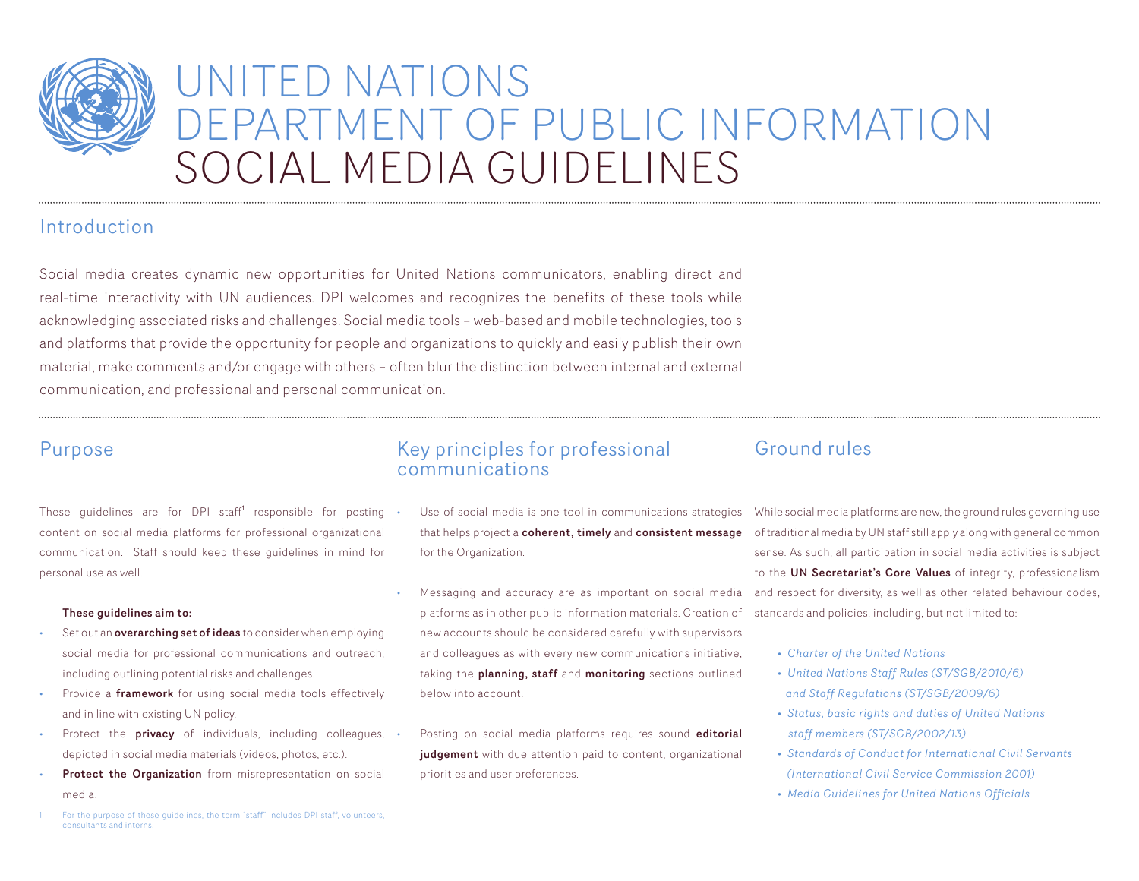

# UNITED NATIONS DEPARTMENT OF PUBLIC INFORMATION SOCIAL MEDIA GUIDELINES

## Introduction

Social media creates dynamic new opportunities for United Nations communicators, enabling direct and real-time interactivity with UN audiences. DPI welcomes and recognizes the benefits of these tools while acknowledging associated risks and challenges. Social media tools – web-based and mobile technologies, tools and platforms that provide the opportunity for people and organizations to quickly and easily publish their own material, make comments and/or engage with others – often blur the distinction between internal and external communication, and professional and personal communication.

## Purpose

These guidelines are for DPI staff<sup>1</sup> responsible for posting content on social media platforms for professional organizational communication. Staff should keep these guidelines in mind for personal use as well.

#### These guidelines aim to:

- Set out an **overarching set of ideas** to consider when employing social media for professional communications and outreach, including outlining potential risks and challenges.
- Provide a framework for using social media tools effectively and in line with existing UN policy.
- Protect the **privacy** of individuals, including colleagues, depicted in social media materials (videos, photos, etc.).
- Protect the Organization from misrepresentation on social media.

### Key principles for professional communications

- Use of social media is one tool in communications strategies that helps project a coherent, timely and consistent message for the Organization.
- Messaging and accuracy are as important on social media platforms as in other public information materials. Creation of new accounts should be considered carefully with supervisors and colleagues as with every new communications initiative, taking the planning, staff and monitoring sections outlined below into account.

Posting on social media platforms requires sound editorial judgement with due attention paid to content, organizational priorities and user preferences.

## Ground rules

While social media platforms are new, the ground rules governing use of traditional media by UN staff still apply along with general common sense. As such, all participation in social media activities is subject to the UN Secretariat's Core Values of integrity, professionalism and respect for diversity, as well as other related behaviour codes, standards and policies, including, but not limited to:

- *Charter of the United Nations*
- *United Nations Staff Rules (ST/SGB/2010/6) and Staff Regulations (ST/SGB/2009/6)*
- *Status, basic rights and duties of United Nations staff members (ST/SGB/2002/13)*
- *Standards of Conduct for International Civil Servants (International Civil Service Commission 2001)*
- *Media Guidelines for United Nations Officials*

1 For the purpose of these guidelines, the term "staff" includes DPI staff, volunteers, consultants and interns.